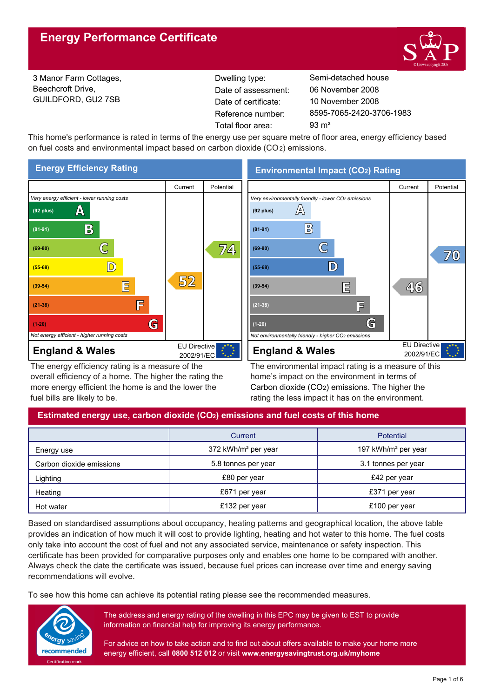

3 Manor Farm Cottages, Beechcroft Drive, GUILDFORD, GU2 7SB

Reference number: Date of certificate: Total floor area: 93 m<sup>2</sup> Date of assessment:

Dwelling type: Semi-detached house 8595-7065-2420-3706-1983 10 November 2008 06 November 2008

This home's performance is rated in terms of the energy use per square metre of floor area, energy efficiency based on fuel costs and environmental impact based on carbon dioxide (CO2) emissions.



The energy efficiency rating is a measure of the overall efficiency of a home. The higher the rating the more energy efficient the home is and the lower the fuel bills are likely to be.

**Environmental Impact (CO2) Rating**



The environmental impact rating is a measure of this home's impact on the environment in terms of Carbon dioxide (CO2) emissions. The higher the rating the less impact it has on the environment.

## **Estimated energy use, carbon dioxide (CO2) emissions and fuel costs of this home**

|                          | Current                         | <b>Potential</b>                |
|--------------------------|---------------------------------|---------------------------------|
| Energy use               | 372 kWh/m <sup>2</sup> per year | 197 kWh/m <sup>2</sup> per year |
| Carbon dioxide emissions | 5.8 tonnes per year             | 3.1 tonnes per year             |
| Lighting                 | £80 per year                    | £42 per year                    |
| Heating                  | £671 per year                   | £371 per year                   |
| Hot water                | £132 per year                   | £100 per year                   |

Based on standardised assumptions about occupancy, heating patterns and geographical location, the above table provides an indication of how much it will cost to provide lighting, heating and hot water to this home. The fuel costs only take into account the cost of fuel and not any associated service, maintenance or safety inspection. This certificate has been provided for comparative purposes only and enables one home to be compared with another. Always check the date the certificate was issued, because fuel prices can increase over time and energy saving recommendations will evolve.

To see how this home can achieve its potential rating please see the recommended measures.



The address and energy rating of the dwelling in this EPC may be given to EST to provide information on financial help for improving its energy performance.

For advice on how to take action and to find out about offers available to make your home more energy efficient, call **0800 512 012** or visit **www.energysavingtrust.org.uk/myhome**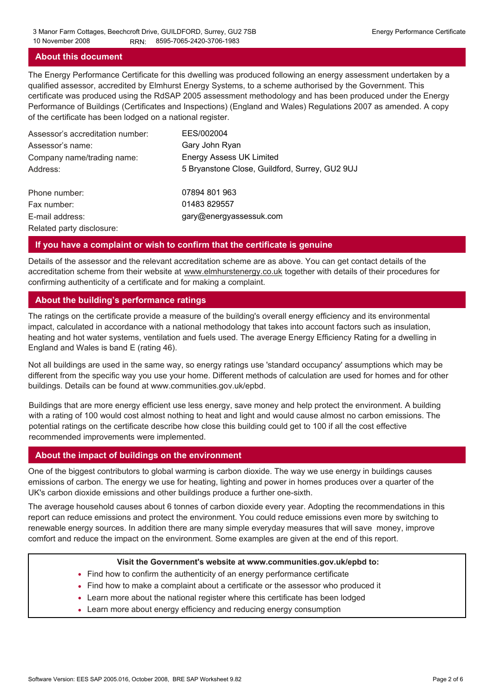## **About this document**

The Energy Performance Certificate for this dwelling was produced following an energy assessment undertaken by a qualified assessor, accredited by Elmhurst Energy Systems, to a scheme authorised by the Government. This certificate was produced using the RdSAP 2005 assessment methodology and has been produced under the Energy Performance of Buildings (Certificates and Inspections) (England and Wales) Regulations 2007 as amended. A copy of the certificate has been lodged on a national register.

| Assessor's accreditation number: | EES/002004                                     |
|----------------------------------|------------------------------------------------|
| Assessor's name:                 | Gary John Ryan                                 |
| Company name/trading name:       | <b>Energy Assess UK Limited</b>                |
| Address:                         | 5 Bryanstone Close, Guildford, Surrey, GU2 9UJ |
| Phone number:                    | 07894 801 963                                  |
| Fax number:                      | 01483 829557                                   |
| E-mail address:                  | gary@energyassessuk.com                        |
| Related party disclosure:        |                                                |

#### **If you have a complaint or wish to confirm that the certificate is genuine**

Details of the assessor and the relevant accreditation scheme are as above. You can get contact details of the accreditation scheme from their website at www.elmhurstenergy.co.uk together with details of their procedures for confirming authenticity of a certificate and for making a complaint.

## **About the building's performance ratings**

The ratings on the certificate provide a measure of the building's overall energy efficiency and its environmental impact, calculated in accordance with a national methodology that takes into account factors such as insulation, heating and hot water systems, ventilation and fuels used. The average Energy Efficiency Rating for a dwelling in England and Wales is band E (rating 46).

Not all buildings are used in the same way, so energy ratings use 'standard occupancy' assumptions which may be different from the specific way you use your home. Different methods of calculation are used for homes and for other buildings. Details can be found at www.communities.gov.uk/epbd.

Buildings that are more energy efficient use less energy, save money and help protect the environment. A building with a rating of 100 would cost almost nothing to heat and light and would cause almost no carbon emissions. The potential ratings on the certificate describe how close this building could get to 100 if all the cost effective recommended improvements were implemented.

#### **About the impact of buildings on the environment**

One of the biggest contributors to global warming is carbon dioxide. The way we use energy in buildings causes emissions of carbon. The energy we use for heating, lighting and power in homes produces over a quarter of the UK's carbon dioxide emissions and other buildings produce a further one-sixth.

The average household causes about 6 tonnes of carbon dioxide every year. Adopting the recommendations in this report can reduce emissions and protect the environment. You could reduce emissions even more by switching to renewable energy sources. In addition there are many simple everyday measures that will save money, improve comfort and reduce the impact on the environment. Some examples are given at the end of this report.

#### **Visit the Government's website at www.communities.gov.uk/epbd to:**

- Find how to confirm the authenticity of an energy performance certificate
- Find how to make a complaint about a certificate or the assessor who produced it •
- Learn more about the national register where this certificate has been lodged •
- Learn more about energy efficiency and reducing energy consumption •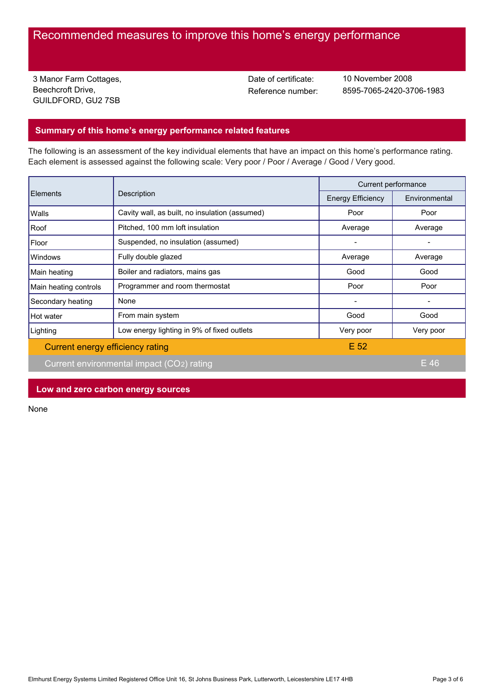# Recommended measures to improve this home's energy performance

3 Manor Farm Cottages, Beechcroft Drive, GUILDFORD, GU2 7SB

Date of certificate:

Reference number: 8595-7065-2420-3706-1983 10 November 2008

## **Summary of this home's energy performance related features**

The following is an assessment of the key individual elements that have an impact on this home's performance rating. Each element is assessed against the following scale: Very poor / Poor / Average / Good / Very good.

| Description<br>Elements          |                                                | Current performance      |               |
|----------------------------------|------------------------------------------------|--------------------------|---------------|
|                                  |                                                | <b>Energy Efficiency</b> | Environmental |
| Walls                            | Cavity wall, as built, no insulation (assumed) | Poor                     | Poor          |
| Roof                             | Pitched, 100 mm loft insulation                | Average                  | Average       |
| Floor                            | Suspended, no insulation (assumed)             |                          |               |
| Windows                          | Fully double glazed                            | Average                  | Average       |
| Main heating                     | Boiler and radiators, mains gas                | Good                     | Good          |
| Main heating controls            | Programmer and room thermostat                 | Poor                     | Poor          |
| Secondary heating                | None                                           |                          |               |
| Hot water                        | From main system                               | Good                     | Good          |
| Lighting                         | Low energy lighting in 9% of fixed outlets     | Very poor                | Very poor     |
| Current energy efficiency rating |                                                | E <sub>52</sub>          |               |
|                                  | Current environmental impact (CO2) rating      |                          | 'E 46,        |

**Low and zero carbon energy sources**

None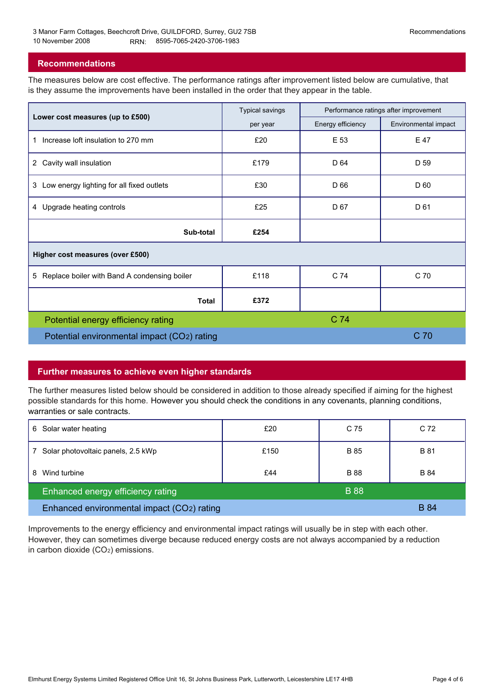## **Recommendations**

The measures below are cost effective. The performance ratings after improvement listed below are cumulative, that is they assume the improvements have been installed in the order that they appear in the table.

|                                                   | <b>Typical savings</b> | Performance ratings after improvement |                      |  |  |  |
|---------------------------------------------------|------------------------|---------------------------------------|----------------------|--|--|--|
| Lower cost measures (up to £500)                  | per year               | Energy efficiency                     | Environmental impact |  |  |  |
| Increase loft insulation to 270 mm<br>1           | £20                    | E 53                                  | E 47                 |  |  |  |
| Cavity wall insulation<br>$\mathbf{2}$            | £179                   | D 64                                  | D 59                 |  |  |  |
| Low energy lighting for all fixed outlets<br>3    | £30                    | D 66                                  | D 60                 |  |  |  |
| 4 Upgrade heating controls                        | £25                    | D 67                                  | D 61                 |  |  |  |
| Sub-total                                         | £254                   |                                       |                      |  |  |  |
| Higher cost measures (over £500)                  |                        |                                       |                      |  |  |  |
| Replace boiler with Band A condensing boiler<br>5 | £118                   | C 74                                  | C 70                 |  |  |  |
| <b>Total</b>                                      | £372                   |                                       |                      |  |  |  |
| Potential energy efficiency rating                |                        | C 74                                  |                      |  |  |  |
| Potential environmental impact (CO2) rating       |                        |                                       | C 70                 |  |  |  |

## **Further measures to achieve even higher standards**

The further measures listed below should be considered in addition to those already specified if aiming for the highest possible standards for this home. However you should check the conditions in any covenants, planning conditions, warranties or sale contracts.

| 6 Solar water heating                      | £20  | C 75        | C 72        |
|--------------------------------------------|------|-------------|-------------|
| Solar photovoltaic panels, 2.5 kWp         | £150 | <b>B</b> 85 | <b>B</b> 81 |
| Wind turbine<br>8                          | £44  | <b>B</b> 88 | <b>B</b> 84 |
| Enhanced energy efficiency rating          |      | <b>B</b> 88 |             |
| Enhanced environmental impact (CO2) rating |      |             | <b>B</b> 84 |

Improvements to the energy efficiency and environmental impact ratings will usually be in step with each other. However, they can sometimes diverge because reduced energy costs are not always accompanied by a reduction in carbon dioxide (CO2) emissions.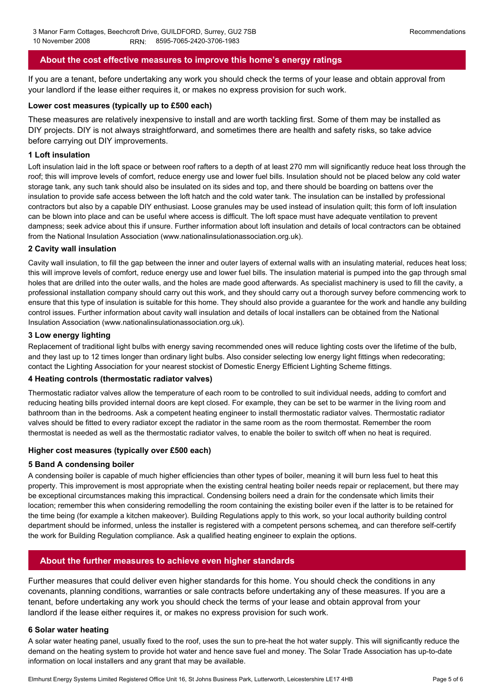## **About the cost effective measures to improve this home's energy ratings**

If you are a tenant, before undertaking any work you should check the terms of your lease and obtain approval from your landlord if the lease either requires it, or makes no express provision for such work.

#### **Lower cost measures (typically up to £500 each)**

These measures are relatively inexpensive to install and are worth tackling first. Some of them may be installed as DIY projects. DIY is not always straightforward, and sometimes there are health and safety risks, so take advice before carrying out DIY improvements.

#### **1 Loft insulation**

Loft insulation laid in the loft space or between roof rafters to a depth of at least 270 mm will significantly reduce heat loss through the roof; this will improve levels of comfort, reduce energy use and lower fuel bills. Insulation should not be placed below any cold water storage tank, any such tank should also be insulated on its sides and top, and there should be boarding on battens over the insulation to provide safe access between the loft hatch and the cold water tank. The insulation can be installed by professional contractors but also by a capable DIY enthusiast. Loose granules may be used instead of insulation quilt; this form of loft insulation can be blown into place and can be useful where access is difficult. The loft space must have adequate ventilation to prevent dampness; seek advice about this if unsure. Further information about loft insulation and details of local contractors can be obtained from the National Insulation Association (www.nationalinsulationassociation.org.uk).

#### **2 Cavity wall insulation**

Cavity wall insulation, to fill the gap between the inner and outer layers of external walls with an insulating material, reduces heat loss; this will improve levels of comfort, reduce energy use and lower fuel bills. The insulation material is pumped into the gap through small holes that are drilled into the outer walls, and the holes are made good afterwards. As specialist machinery is used to fill the cavity, a professional installation company should carry out this work, and they should carry out a thorough survey before commencing work to ensure that this type of insulation is suitable for this home. They should also provide a guarantee for the work and handle any building control issues. Further information about cavity wall insulation and details of local installers can be obtained from the National Insulation Association (www.nationalinsulationassociation.org.uk).

#### **3 Low energy lighting**

Replacement of traditional light bulbs with energy saving recommended ones will reduce lighting costs over the lifetime of the bulb, and they last up to 12 times longer than ordinary light bulbs. Also consider selecting low energy light fittings when redecorating; contact the Lighting Association for your nearest stockist of Domestic Energy Efficient Lighting Scheme fittings.

#### **4 Heating controls (thermostatic radiator valves)**

Thermostatic radiator valves allow the temperature of each room to be controlled to suit individual needs, adding to comfort and reducing heating bills provided internal doors are kept closed. For example, they can be set to be warmer in the living room and bathroom than in the bedrooms. Ask a competent heating engineer to install thermostatic radiator valves. Thermostatic radiator valves should be fitted to every radiator except the radiator in the same room as the room thermostat. Remember the room thermostat is needed as well as the thermostatic radiator valves, to enable the boiler to switch off when no heat is required.

#### **Higher cost measures (typically over £500 each)**

#### **5 Band A condensing boiler**

A condensing boiler is capable of much higher efficiencies than other types of boiler, meaning it will burn less fuel to heat this property. This improvement is most appropriate when the existing central heating boiler needs repair or replacement, but there may be exceptional circumstances making this impractical. Condensing boilers need a drain for the condensate which limits their location; remember this when considering remodelling the room containing the existing boiler even if the latter is to be retained for the time being (for example a kitchen makeover). Building Regulations apply to this work, so your local authority building control department should be informed, unless the installer is registered with a competent persons schemeą, and can therefore self-certify the work for Building Regulation compliance. Ask a qualified heating engineer to explain the options.

## **About the further measures to achieve even higher standards**

Further measures that could deliver even higher standards for this home. You should check the conditions in any covenants, planning conditions, warranties or sale contracts before undertaking any of these measures. If you are a tenant, before undertaking any work you should check the terms of your lease and obtain approval from your landlord if the lease either requires it, or makes no express provision for such work.

#### **6 Solar water heating**

A solar water heating panel, usually fixed to the roof, uses the sun to pre-heat the hot water supply. This will significantly reduce the demand on the heating system to provide hot water and hence save fuel and money. The Solar Trade Association has up-to-date information on local installers and any grant that may be available.